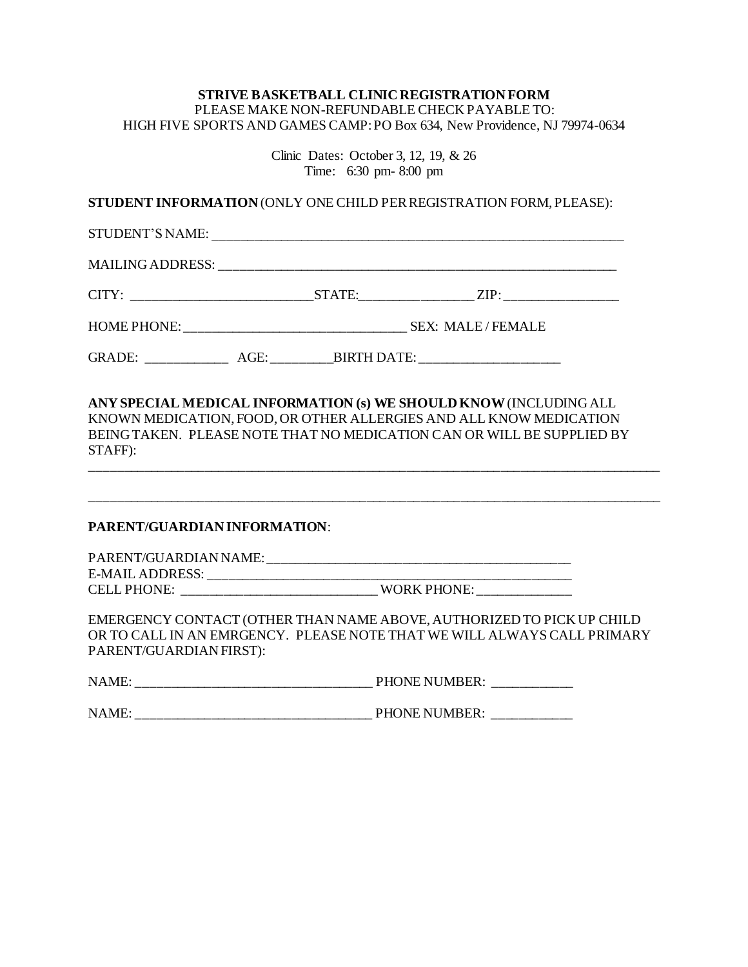## **STRIVE BASKETBALL CLINIC REGISTRATION FORM**  PLEASE MAKE NON-REFUNDABLE CHECK PAYABLE TO: HIGH FIVE SPORTS AND GAMES CAMP: PO Box 634, New Providence, NJ 79974-0634

Clinic Dates: October 3, 12, 19, & 26 Time: 6:30 pm- 8:00 pm **STUDENT INFORMATION** (ONLY ONE CHILD PER REGISTRATION FORM, PLEASE): STUDENT'S NAME: \_\_\_\_\_\_\_\_\_\_\_\_\_\_\_\_\_\_\_\_\_\_\_\_\_\_\_\_\_\_\_\_\_\_\_\_\_\_\_\_\_\_\_\_\_\_\_\_\_\_\_\_\_\_\_\_\_\_\_\_\_ MAILING ADDRESS: CITY: \_\_\_\_\_\_\_\_\_\_\_\_\_\_\_\_\_\_\_\_\_\_\_\_\_\_\_STATE:\_\_\_\_\_\_\_\_\_\_\_\_\_\_\_\_\_ ZIP: \_\_\_\_\_\_\_\_\_\_\_\_\_\_\_\_\_ HOME PHONE: \_\_\_\_\_\_\_\_\_\_\_\_\_\_\_\_\_\_\_\_\_\_\_\_\_\_\_\_\_\_\_\_\_ SEX: MALE / FEMALE GRADE: AGE: BIRTH DATE: **ANY SPECIAL MEDICAL INFORMATION (s) WE SHOULD KNOW**(INCLUDING ALL KNOWN MEDICATION, FOOD, OR OTHER ALLERGIES AND ALL KNOW MEDICATION BEING TAKEN. PLEASE NOTE THAT NO MEDICATION CAN OR WILL BE SUPPLIED BY STAFF): \_\_\_\_\_\_\_\_\_\_\_\_\_\_\_\_\_\_\_\_\_\_\_\_\_\_\_\_\_\_\_\_\_\_\_\_\_\_\_\_\_\_\_\_\_\_\_\_\_\_\_\_\_\_\_\_\_\_\_\_\_\_\_\_\_\_\_\_\_\_\_\_\_\_\_\_\_\_\_\_\_\_\_\_\_ \_\_\_\_\_\_\_\_\_\_\_\_\_\_\_\_\_\_\_\_\_\_\_\_\_\_\_\_\_\_\_\_\_\_\_\_\_\_\_\_\_\_\_\_\_\_\_\_\_\_\_\_\_\_\_\_\_\_\_\_\_\_\_\_\_\_\_\_\_\_\_\_\_\_\_\_\_\_\_\_\_\_\_\_\_ **PARENT/GUARDIAN INFORMATION**: PARENT/GUARDIAN NAME: \_\_\_\_\_\_\_\_\_\_\_\_\_\_\_\_\_\_\_\_\_\_\_\_\_\_\_\_\_\_\_\_\_\_\_\_\_\_\_\_\_\_\_\_\_ E-MAIL ADDRESS: \_\_\_\_\_\_\_\_\_\_\_\_\_\_\_\_\_\_\_\_\_\_\_\_\_\_\_\_\_\_\_\_\_\_\_\_\_\_\_\_\_\_\_\_\_\_\_\_\_\_\_\_\_\_ CELL PHONE: \_\_\_\_\_\_\_\_\_\_\_\_\_\_\_\_\_\_\_\_\_\_\_\_\_\_\_\_\_ WORK PHONE: \_\_\_\_\_\_\_\_\_\_\_\_\_\_ EMERGENCY CONTACT (OTHER THAN NAME ABOVE, AUTHORIZED TO PICK UP CHILD OR TO CALL IN AN EMRGENCY. PLEASE NOTE THAT WE WILL ALWAYS CALL PRIMARY PARENT/GUARDIAN FIRST): NAME: \_\_\_\_\_\_\_\_\_\_\_\_\_\_\_\_\_\_\_\_\_\_\_\_\_\_\_\_\_\_\_\_\_\_\_ PHONE NUMBER: \_\_\_\_\_\_\_\_\_\_\_\_ NAME: \_\_\_\_\_\_\_\_\_\_\_\_\_\_\_\_\_\_\_\_\_\_\_\_\_\_\_\_\_\_\_\_\_\_\_ PHONE NUMBER: \_\_\_\_\_\_\_\_\_\_\_\_